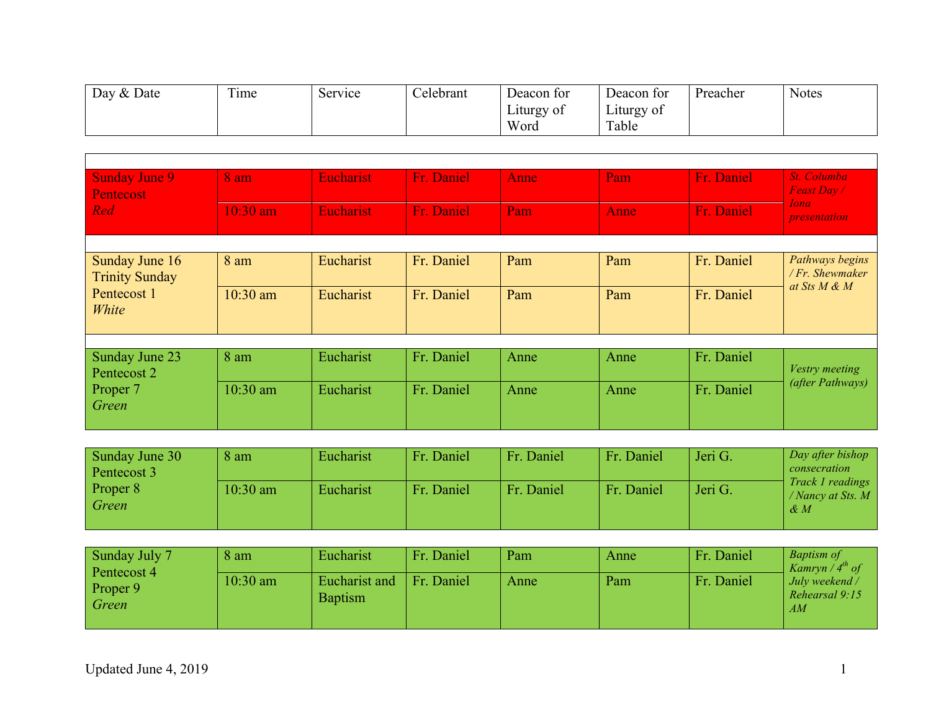| $\mathcal{R}$ . Date<br>Day | $\sim$<br>1 <sub>me</sub> | service | Celebrant | Deacon for | Deacon for             | Preacher | <b>Notes</b> |
|-----------------------------|---------------------------|---------|-----------|------------|------------------------|----------|--------------|
|                             |                           |         |           | Liturgy of | $ \cdot$<br>Liturgy of |          |              |
|                             |                           |         |           | Word       | Table                  |          |              |

| <b>Sunday June 9</b><br>Pentecost       | 8 am       | <b>Eucharist</b> | Fr. Daniel | Anne | Pam  | Fr. Daniel | St. Columba<br>Feast Day /                            |
|-----------------------------------------|------------|------------------|------------|------|------|------------|-------------------------------------------------------|
| Red                                     | $10:30$ am | Eucharist        | Fr. Daniel | Pam  | Anne | Fr. Daniel | <i>Iona</i><br><i>presentation</i>                    |
|                                         |            |                  |            |      |      |            |                                                       |
| Sunday June 16<br><b>Trinity Sunday</b> | 8 am       | Eucharist        | Fr. Daniel | Pam  | Pam  | Fr. Daniel | Pathways begins<br>/ Fr. Shewmaker<br>at Sts $M \& M$ |
| Pentecost 1<br>White                    | $10:30$ am | Eucharist        | Fr. Daniel | Pam  | Pam  | Fr. Daniel |                                                       |
|                                         |            |                  |            |      |      |            |                                                       |
| Sunday June 23<br>Pentecost 2           | 8 am       | Eucharist        | Fr. Daniel | Anne | Anne | Fr. Daniel | Vestry meeting                                        |
| Proper 7<br>Green                       | 10:30 am   | Eucharist        | Fr. Daniel | Anne | Anne | Fr. Daniel | (after Pathways)                                      |

| Sunday June 30<br>Pentecost 3 | 8 am       | Eucharist | Fr. Daniel | Fr. Daniel | Fr. Daniel | Jeri G. | Day after bishop<br>consecration                                  |
|-------------------------------|------------|-----------|------------|------------|------------|---------|-------------------------------------------------------------------|
| Proper 8<br>Green             | $10:30$ am | Eucharist | Fr. Daniel | Fr. Daniel | Fr. Daniel | Jeri G. | <i>Track 1 readings</i><br>/ Nancy at Sts. $M$<br>$\mathcal{R}$ M |

| Sunday July 7<br>Pentecost 4 | 8 am       | Eucharist                       | Fr. Daniel | Pam  | Anne | Fr. Daniel | <b>Baptism of</b><br>Kamryn / $4th$ of |
|------------------------------|------------|---------------------------------|------------|------|------|------------|----------------------------------------|
| Proper 9<br>Green            | $10:30$ am | Eucharist and<br><b>Baptism</b> | Fr. Daniel | Anne | Pam  | Fr. Daniel | July weekend /<br>Rehearsal 9:15<br>AM |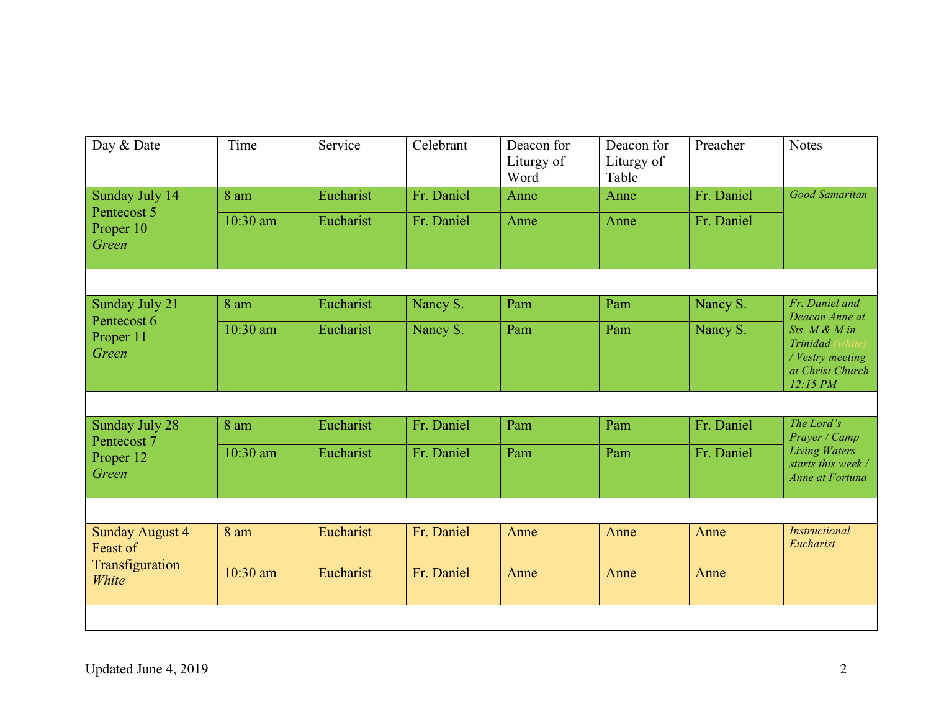| Day & Date                                                     | Time     | Service   | Celebrant  | Deacon for<br>Liturgy of<br>Word | Deacon for<br>Liturgy of<br>Table | Preacher   | <b>Notes</b>                                                                                 |
|----------------------------------------------------------------|----------|-----------|------------|----------------------------------|-----------------------------------|------------|----------------------------------------------------------------------------------------------|
| Sunday July 14                                                 | 8 am     | Eucharist | Fr. Daniel | Anne                             | Anne                              | Fr. Daniel | <b>Good Samaritan</b>                                                                        |
| Pentecost 5<br>Proper 10<br>Green                              | 10:30 am | Eucharist | Fr. Daniel | Anne                             | Anne                              | Fr. Daniel |                                                                                              |
|                                                                |          |           |            |                                  |                                   |            |                                                                                              |
| Sunday July 21                                                 | 8 am     | Eucharist | Nancy S.   | Pam                              | Pam                               | Nancy S.   | Fr. Daniel and<br>Deacon Anne at                                                             |
| Pentecost 6<br>Proper 11<br>Green                              | 10:30 am | Eucharist | Nancy S.   | Pam                              | Pam                               | Nancy S.   | Sts. M & M in<br>Trinidad (white)<br>/ Vestry meeting<br>at Christ Church<br>12:15 PM        |
|                                                                |          |           |            |                                  |                                   |            |                                                                                              |
| Sunday July 28<br>Pentecost 7                                  | 8 am     | Eucharist | Fr. Daniel | Pam                              | Pam                               | Fr. Daniel | The Lord's<br>Prayer / Camp<br><b>Living Waters</b><br>starts this week /<br>Anne at Fortuna |
| Proper 12<br>Green                                             | 10:30 am | Eucharist | Fr. Daniel | Pam                              | Pam                               | Fr. Daniel |                                                                                              |
|                                                                |          |           |            |                                  |                                   |            |                                                                                              |
| <b>Sunday August 4</b><br>Feast of<br>Transfiguration<br>White | 8 am     | Eucharist | Fr. Daniel | Anne                             | Anne                              | Anne       | <b>Instructional</b><br>Eucharist                                                            |
|                                                                | 10:30 am | Eucharist | Fr. Daniel | Anne                             | Anne                              | Anne       |                                                                                              |
|                                                                |          |           |            |                                  |                                   |            |                                                                                              |